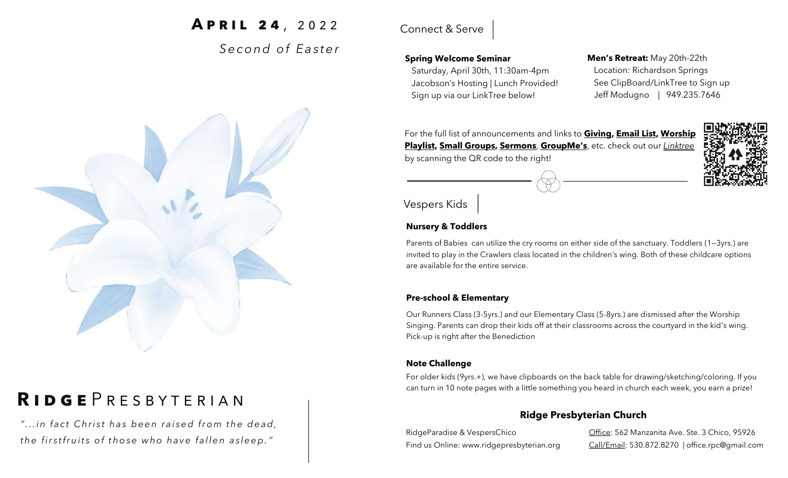# **APRIL 24**, 2022

*S e c o n d o f E a s t e r* 



## **Spring Welcome Seminar**

 Saturday, April 30th, 11:30am-4pm Jacobson's Hosting | Lunch Provided! Sign up via our LinkTree below!

**Men's Retreat:** May 20th-22th Location: Richardson Springs See ClipBoard/LinkTree to Sign up Jeff Modugno | 949.235.7646

For the full list of announcements and links to **Giving, Email List, Worship Playlist, Small Groups, Sermons**, **GroupMe's**, etc. check out our *Linktree*  by scanning the QR code to the right!



## **Nursery & Toddlers**

Parents of Babies can utilize the cry rooms on either side of the sanctuary. Toddlers (1—3yrs.) are invited to play in the Crawlers class located in the children's wing. Both of these childcare options are available for the entire service.

## **Pre-school & Elementary**

Our Runners Class (3-5yrs.) and our Elementary Class (5-8yrs.) are dismissed after the Worship Singing. Parents can drop their kids off at their classrooms across the courtyard in the kid's wing. Pick-up is right after the Benediction

### **Note Challenge**

For older kids (9yrs.+), we have clipboards on the back table for drawing/sketching/coloring. If you can turn in 10 note pages with a little something you heard in church each week, you earn a prize!

## **Ridge Presbyterian Church**

RidgeParadise & VespersChico Find us Online: www.ridgepresbyterian.org

Office: 562 Manzanita Ave. Ste. 3 Chico, 95926 Call/Email: 530.872.8270 | office.rpc@gmail.com



# **R i d g e** P r e s b y t e r i a n

"... in fact Christ has been raised from the dead, the firstfruits of those who have fallen asleep."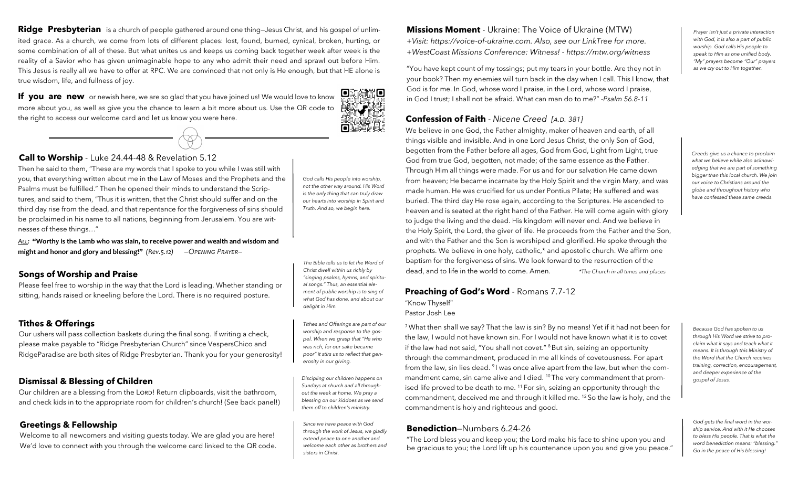**Ridge Presbyterian** is a church of people gathered around one thing—Jesus Christ, and his gospel of unlimited grace. As a church, we come from lots of different places: lost, found, burned, cynical, broken, hurting, or some combination of all of these. But what unites us and keeps us coming back together week after week is the reality of a Savior who has given unimaginable hope to any who admit their need and sprawl out before Him. This Jesus is really all we have to offer at RPC. We are convinced that not only is He enough, but that HE alone is true wisdom, life, and fullness of joy.

**If you are new** or newish here, we are so glad that you have joined us! We would love to know more about you, as well as give you the chance to learn a bit more about us. Use the QR code to the right to access our welcome card and let us know you were here.



#### **Call to Worship** - Luke 24.44-48 & Revelation 5.12

Then he said to them, "These are my words that I spoke to you while I was still with you, that everything written about me in the Law of Moses and the Prophets and the Psalms must be fulfilled." Then he opened their minds to understand the Scriptures, and said to them, "Thus it is written, that the Christ should suffer and on the third day rise from the dead, and that repentance for the forgiveness of sins should be proclaimed in his name to all nations, beginning from Jerusalem. You are witnesses of these things…"

*All:* **"Worthy is the Lamb who was slain, to receive power and wealth and wisdom and might and honor and glory and blessing!"** *(Rev.5.12) —Opening Prayer—*

#### **Songs of Worship and Praise**

Please feel free to worship in the way that the Lord is leading. Whether standing or sitting, hands raised or kneeling before the Lord. There is no required posture.

#### **Tithes & Offerings**

Our ushers will pass collection baskets during the final song. If writing a check, please make payable to "Ridge Presbyterian Church" since VespersChico and RidgeParadise are both sites of Ridge Presbyterian. Thank you for your generosity!

## **Dismissal & Blessing of Children**

Our children are a blessing from the LORD! Return clipboards, visit the bathroom, and check kids in to the appropriate room for children's church! (See back panel!)

## **Greetings & Fellowship**

Welcome to all newcomers and visiting guests today. We are glad you are here! We'd love to connect with you through the welcome card linked to the QR code. *God calls His people into worship, not the other way around. His Word is the only thing that can truly draw our hearts into worship in Spirit and Truth. And so, we begin here.* 

п

erto

√

*The Bible tells us to let the Word of Christ dwell within us richly by "singing psalms, hymns, and spiritual songs." Thus, an essential element of public worship is to sing of what God has done, and about our delight in Him.* 

*Tithes and Offerings are part of our worship and response to the gospel. When we grasp that "He who was rich, for our sake became poor" it stirs us to reflect that generosity in our giving.*

*Discipling our children happens on Sundays at church and all throughout the week at home. We pray a blessing on our kiddoes as we send them off to children's ministry.* 

*Since we have peace with God through the work of Jesus, we gladly extend peace to one another and welcome each other as brothers and sisters in Christ.* 

**Missions Moment** - Ukraine: The Voice of Ukraine (MTW) *+Visit: https://voice-of-ukraine.com. Also, see our LinkTree for more. +WestCoast Missions Conference: Witness! - https://mtw.org/witness*

"You have kept count of my tossings; put my tears in your bottle. Are they not in your book? Then my enemies will turn back in the day when I call. This I know, that God is for me. In God, whose word I praise, in the Lord, whose word I praise, in God I trust; I shall not be afraid. What can man do to me?" *-Psalm 56.8-11*

#### **Confession of Faith** - Nicene Creed [A.D. 381]

We believe in one God, the Father almighty, maker of heaven and earth, of all things visible and invisible. And in one Lord Jesus Christ, the only Son of God, begotten from the Father before all ages, God from God, Light from Light, true God from true God, begotten, not made; of the same essence as the Father. Through Him all things were made. For us and for our salvation He came down from heaven; He became incarnate by the Holy Spirit and the virgin Mary, and was made human. He was crucified for us under Pontius Pilate; He suffered and was buried. The third day He rose again, according to the Scriptures. He ascended to heaven and is seated at the right hand of the Father. He will come again with glory to judge the living and the dead. His kingdom will never end. And we believe in the Holy Spirit, the Lord, the giver of life. He proceeds from the Father and the Son, and with the Father and the Son is worshiped and glorified. He spoke through the prophets. We believe in one holy, catholic,\* and apostolic church. We affirm one baptism for the forgiveness of sins. We look forward to the resurrection of the dead, and to life in the world to come. Amen. *\*The Church in all times and places*

#### **Preaching of God's Word** - Romans 7.7-12

"Know Thyself" Pastor Josh Lee

<sup>7</sup>What then shall we say? That the law is sin? By no means! Yet if it had not been for the law, I would not have known sin. For I would not have known what it is to covet if the law had not said, "You shall not covet." <sup>8</sup> But sin, seizing an opportunity through the commandment, produced in me all kinds of covetousness. For apart from the law, sin lies dead. <sup>9</sup>I was once alive apart from the law, but when the commandment came, sin came alive and I died. <sup>10</sup> The very commandment that promised life proved to be death to me. <sup>11</sup> For sin, seizing an opportunity through the commandment, deceived me and through it killed me. <sup>12</sup> So the law is holy, and the commandment is holy and righteous and good.

#### **Benediction**—Numbers 6.24-26

*—Continue Liturgy on Back Panel—* "The Lord bless you and keep you; the Lord make his face to shine upon you and be gracious to you; the Lord lift up his countenance upon you and give you peace." *Prayer isn't just a private interaction with God, it is also a part of public worship. God calls His people to speak to Him as one unified body. "My" prayers become "Our" prayers as we cry out to Him together.* 

*Creeds give us a chance to proclaim what we believe while also acknowledging that we are part of something bigger than this local church. We join our voice to Christians around the globe and throughout history who have confessed these same creeds.*

*Because God has spoken to us through His Word we strive to proclaim what it says and teach what it means. It is through this Ministry of the Word that the Church receives training, correction, encouragement, and deeper experience of the gospel of Jesus.*

*God gets the final word in the worship service. And with it He chooses to bless His people. That is what the word benediction means: "blessing." Go in the peace of His blessing!*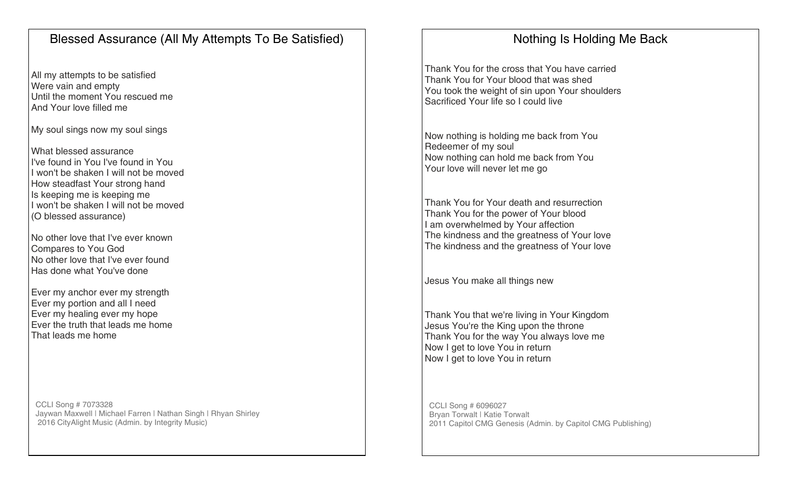# Blessed Assurance (All My Attempts To Be Satisfied)

All my attempts to be satisfied Were vain and empty Until the moment You rescued me And Your love filled me

My soul sings now my soul sings

What blessed assurance I've found in You I've found in You I won't be shaken I will not be moved How steadfast Your strong hand Is keeping me is keeping me I won't be shaken I will not be moved (O blessed assurance)

No other love that I've ever known Compares to You God No other love that I've ever found Has done what You've done

Ever my anchor ever my strength Ever my portion and all I need Ever my healing ever my hope Ever the truth that leads me home That leads me home

CCLI Song # 7073328 Jaywan Maxwell | Michael Farren | Nathan Singh | Rhyan Shirley 2016 CityAlight Music (Admin. by Integrity Music)

# Nothing Is Holding Me Back

Thank You for the cross that You have carried Thank You for Your blood that was shed You took the weight of sin upon Your shoulders Sacrificed Your life so I could live

Now nothing is holding me back from You Redeemer of my soul Now nothing can hold me back from You Your love will never let me go

Thank You for Your death and resurrection Thank You for the power of Your blood I am overwhelmed by Your affection The kindness and the greatness of Your love The kindness and the greatness of Your love

Jesus You make all things new

Thank You that we're living in Your Kingdom Jesus You're the King upon the throne Thank You for the way You always love me Now I get to love You in return Now I get to love You in return

CCLI Song # 6096027 Bryan Torwalt | Katie Torwalt 2011 Capitol CMG Genesis (Admin. by Capitol CMG Publishing)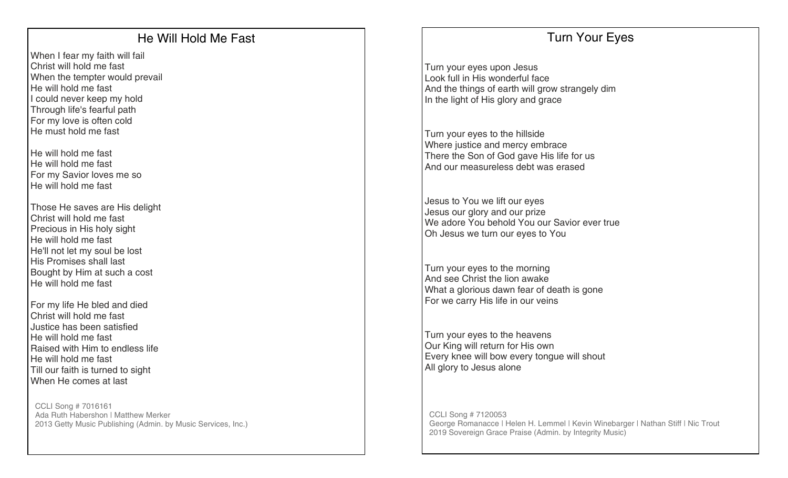# He Will Hold Me Fast

When I fear my faith will fail Christ will hold me fast When the tempter would prevail He will hold me fast I could never keep my hold Through life's fearful path For my love is often cold He must hold me fast

He will hold me fast He will hold me fast For my Savior loves me so He will hold me fast

Those He saves are His delight Christ will hold me fast Precious in His holy sight He will hold me fast He'll not let my soul be lost His Promises shall last Bought by Him at such a cost He will hold me fast

For my life He bled and died Christ will hold me fast Justice has been satisfied He will hold me fast Raised with Him to endless life He will hold me fast Till our faith is turned to sight When He comes at last

CCLI Song # 7016161 Ada Ruth Habershon | Matthew Merker 2013 Getty Music Publishing (Admin. by Music Services, Inc.)

## Turn Your Eyes

Turn your eyes upon Jesus Look full in His wonderful face And the things of earth will grow strangely dim In the light of His glory and grace

Turn your eyes to the hillside Where justice and mercy embrace There the Son of God gave His life for us And our measureless debt was erased

Jesus to You we lift our eyes Jesus our glory and our prize We adore You behold You our Savior ever true Oh Jesus we turn our eyes to You

Turn your eyes to the morning And see Christ the lion awake What a glorious dawn fear of death is gone For we carry His life in our veins

Turn your eyes to the heavens Our King will return for His own Every knee will bow every tongue will shout All glory to Jesus alone

CCLI Song # 7120053 George Romanacce | Helen H. Lemmel | Kevin Winebarger | Nathan Stiff | Nic Trout 2019 Sovereign Grace Praise (Admin. by Integrity Music)